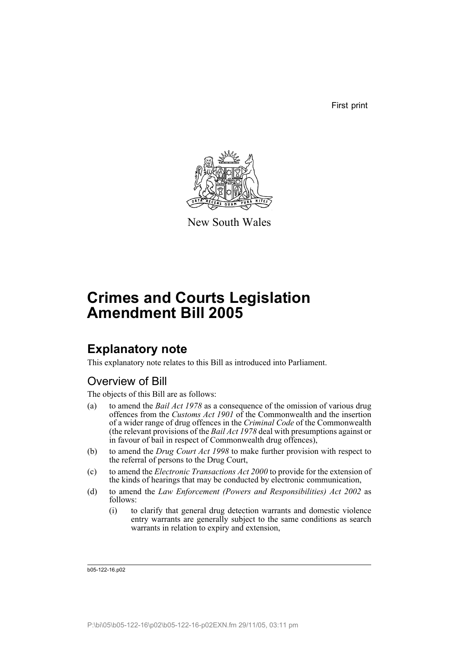First print



New South Wales

# **Crimes and Courts Legislation Amendment Bill 2005**

## **Explanatory note**

This explanatory note relates to this Bill as introduced into Parliament.

## Overview of Bill

The objects of this Bill are as follows:

- (a) to amend the *Bail Act 1978* as a consequence of the omission of various drug offences from the *Customs Act 1901* of the Commonwealth and the insertion of a wider range of drug offences in the *Criminal Code* of the Commonwealth (the relevant provisions of the *Bail Act 1978* deal with presumptions against or in favour of bail in respect of Commonwealth drug offences),
- (b) to amend the *Drug Court Act 1998* to make further provision with respect to the referral of persons to the Drug Court,
- (c) to amend the *Electronic Transactions Act 2000* to provide for the extension of the kinds of hearings that may be conducted by electronic communication,
- (d) to amend the *Law Enforcement (Powers and Responsibilities) Act 2002* as follows:
	- (i) to clarify that general drug detection warrants and domestic violence entry warrants are generally subject to the same conditions as search warrants in relation to expiry and extension,

b05-122-16.p02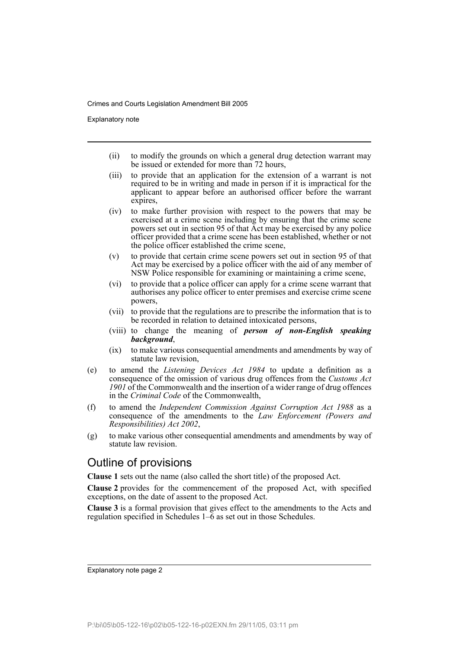Explanatory note

- (ii) to modify the grounds on which a general drug detection warrant may be issued or extended for more than 72 hours,
- (iii) to provide that an application for the extension of a warrant is not required to be in writing and made in person if it is impractical for the applicant to appear before an authorised officer before the warrant expires,
- (iv) to make further provision with respect to the powers that may be exercised at a crime scene including by ensuring that the crime scene powers set out in section 95 of that Act may be exercised by any police officer provided that a crime scene has been established, whether or not the police officer established the crime scene,
- (v) to provide that certain crime scene powers set out in section 95 of that Act may be exercised by a police officer with the aid of any member of NSW Police responsible for examining or maintaining a crime scene,
- (vi) to provide that a police officer can apply for a crime scene warrant that authorises any police officer to enter premises and exercise crime scene powers,
- (vii) to provide that the regulations are to prescribe the information that is to be recorded in relation to detained intoxicated persons,
- (viii) to change the meaning of *person of non-English speaking background*,
- (ix) to make various consequential amendments and amendments by way of statute law revision,
- (e) to amend the *Listening Devices Act 1984* to update a definition as a consequence of the omission of various drug offences from the *Customs Act 1901* of the Commonwealth and the insertion of a wider range of drug offences in the *Criminal Code* of the Commonwealth,
- (f) to amend the *Independent Commission Against Corruption Act 1988* as a consequence of the amendments to the *Law Enforcement (Powers and Responsibilities) Act 2002*,
- (g) to make various other consequential amendments and amendments by way of statute law revision.

## Outline of provisions

**Clause 1** sets out the name (also called the short title) of the proposed Act.

**Clause 2** provides for the commencement of the proposed Act, with specified exceptions, on the date of assent to the proposed Act.

**Clause 3** is a formal provision that gives effect to the amendments to the Acts and regulation specified in Schedules 1–6 as set out in those Schedules.

Explanatory note page 2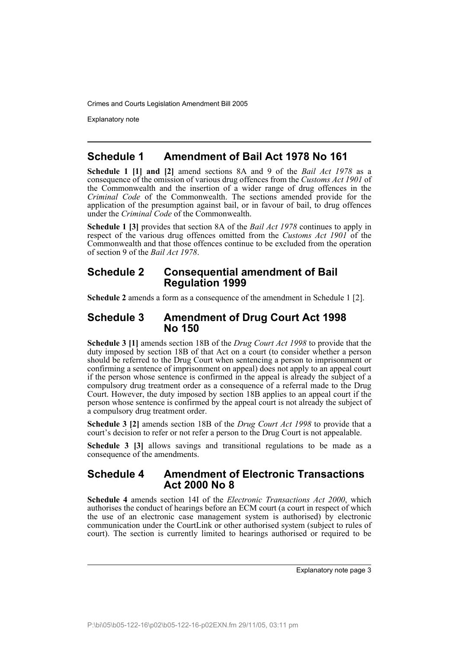Explanatory note

## **Schedule 1 Amendment of Bail Act 1978 No 161**

**Schedule 1 [1] and [2]** amend sections 8A and 9 of the *Bail Act 1978* as a consequence of the omission of various drug offences from the *Customs Act 1901* of the Commonwealth and the insertion of a wider range of drug offences in the *Criminal Code* of the Commonwealth. The sections amended provide for the application of the presumption against bail, or in favour of bail, to drug offences under the *Criminal Code* of the Commonwealth.

**Schedule 1 [3]** provides that section 8A of the *Bail Act 1978* continues to apply in respect of the various drug offences omitted from the *Customs Act 1901* of the Commonwealth and that those offences continue to be excluded from the operation of section 9 of the *Bail Act 1978*.

## **Schedule 2 Consequential amendment of Bail Regulation 1999**

**Schedule 2** amends a form as a consequence of the amendment in Schedule 1 [2].

## **Schedule 3 Amendment of Drug Court Act 1998 No 150**

**Schedule 3 [1]** amends section 18B of the *Drug Court Act 1998* to provide that the duty imposed by section 18B of that Act on a court (to consider whether a person should be referred to the Drug Court when sentencing a person to imprisonment or confirming a sentence of imprisonment on appeal) does not apply to an appeal court if the person whose sentence is confirmed in the appeal is already the subject of a compulsory drug treatment order as a consequence of a referral made to the Drug Court. However, the duty imposed by section 18B applies to an appeal court if the person whose sentence is confirmed by the appeal court is not already the subject of a compulsory drug treatment order.

**Schedule 3 [2]** amends section 18B of the *Drug Court Act 1998* to provide that a court's decision to refer or not refer a person to the Drug Court is not appealable.

**Schedule 3 [3]** allows savings and transitional regulations to be made as a consequence of the amendments.

### **Schedule 4 Amendment of Electronic Transactions Act 2000 No 8**

**Schedule 4** amends section 14I of the *Electronic Transactions Act 2000*, which authorises the conduct of hearings before an ECM court (a court in respect of which the use of an electronic case management system is authorised) by electronic communication under the CourtLink or other authorised system (subject to rules of court). The section is currently limited to hearings authorised or required to be

Explanatory note page 3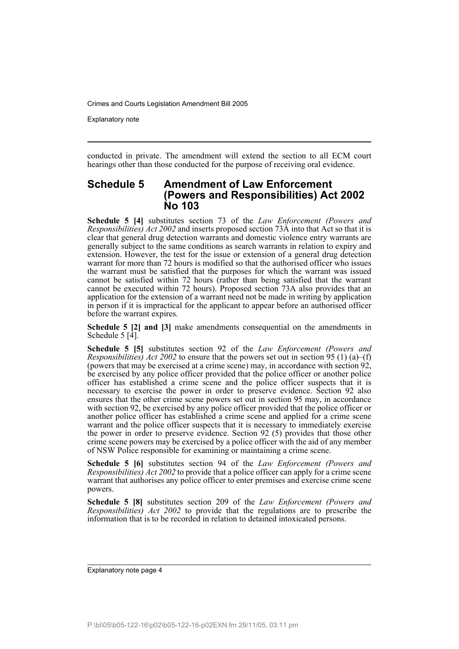Explanatory note

conducted in private. The amendment will extend the section to all ECM court hearings other than those conducted for the purpose of receiving oral evidence.

## **Schedule 5 Amendment of Law Enforcement (Powers and Responsibilities) Act 2002 No 103**

**Schedule 5 [4]** substitutes section 73 of the *Law Enforcement (Powers and Responsibilities) Act 2002* and inserts proposed section 73A into that Act so that it is clear that general drug detection warrants and domestic violence entry warrants are generally subject to the same conditions as search warrants in relation to expiry and extension. However, the test for the issue or extension of a general drug detection warrant for more than 72 hours is modified so that the authorised officer who issues the warrant must be satisfied that the purposes for which the warrant was issued cannot be satisfied within 72 hours (rather than being satisfied that the warrant cannot be executed within 72 hours). Proposed section 73A also provides that an application for the extension of a warrant need not be made in writing by application in person if it is impractical for the applicant to appear before an authorised officer before the warrant expires.

**Schedule 5 [2] and [3]** make amendments consequential on the amendments in Schedule 5 [4].

**Schedule 5 [5]** substitutes section 92 of the *Law Enforcement (Powers and Responsibilities) Act 2002* to ensure that the powers set out in section 95 (1) (a)–(f) (powers that may be exercised at a crime scene) may, in accordance with section 92, be exercised by any police officer provided that the police officer or another police officer has established a crime scene and the police officer suspects that it is necessary to exercise the power in order to preserve evidence. Section 92 also ensures that the other crime scene powers set out in section 95 may, in accordance with section 92, be exercised by any police officer provided that the police officer or another police officer has established a crime scene and applied for a crime scene warrant and the police officer suspects that it is necessary to immediately exercise the power in order to preserve evidence. Section 92 (5) provides that those other crime scene powers may be exercised by a police officer with the aid of any member of NSW Police responsible for examining or maintaining a crime scene.

**Schedule 5 [6]** substitutes section 94 of the *Law Enforcement (Powers and Responsibilities) Act 2002* to provide that a police officer can apply for a crime scene warrant that authorises any police officer to enter premises and exercise crime scene powers.

**Schedule 5 [8]** substitutes section 209 of the *Law Enforcement (Powers and Responsibilities) Act 2002* to provide that the regulations are to prescribe the information that is to be recorded in relation to detained intoxicated persons.

Explanatory note page 4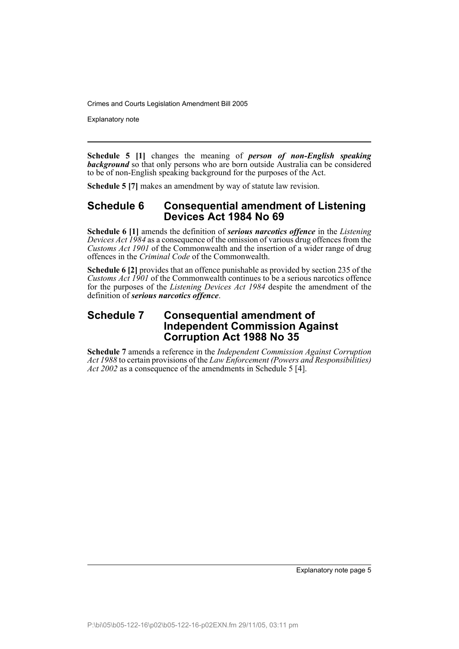Explanatory note

**Schedule 5 [1]** changes the meaning of *person of non-English speaking* **background** so that only persons who are born outside Australia can be considered to be of non-English speaking background for the purposes of the Act.

**Schedule 5 [7]** makes an amendment by way of statute law revision.

## **Schedule 6 Consequential amendment of Listening Devices Act 1984 No 69**

**Schedule 6 [1]** amends the definition of *serious narcotics offence* in the *Listening Devices Act 1984* as a consequence of the omission of various drug offences from the *Customs Act 1901* of the Commonwealth and the insertion of a wider range of drug offences in the *Criminal Code* of the Commonwealth.

**Schedule 6 [2]** provides that an offence punishable as provided by section 235 of the *Customs Act 1901* of the Commonwealth continues to be a serious narcotics offence for the purposes of the *Listening Devices Act 1984* despite the amendment of the definition of *serious narcotics offence*.

## **Schedule 7 Consequential amendment of Independent Commission Against Corruption Act 1988 No 35**

**Schedule 7** amends a reference in the *Independent Commission Against Corruption Act 1988* to certain provisions of the *Law Enforcement (Powers and Responsibilities) Act 2002* as a consequence of the amendments in Schedule 5 [4].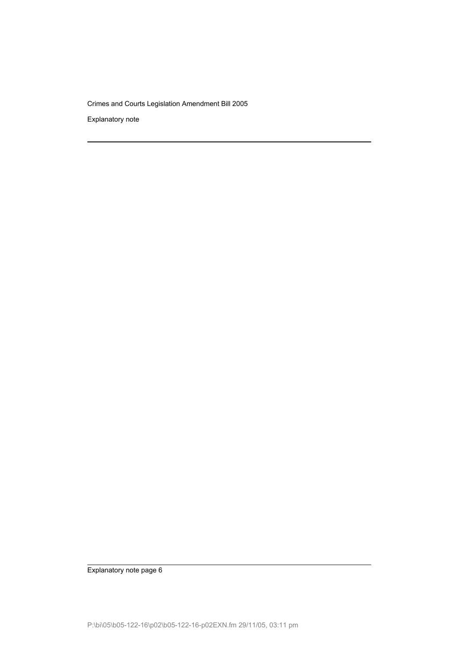Explanatory note

Explanatory note page 6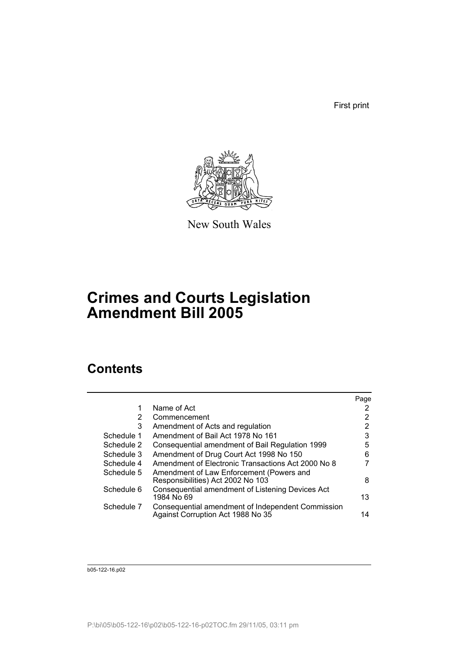First print



New South Wales

# **Crimes and Courts Legislation Amendment Bill 2005**

# **Contents**

|            |                                                                                        | Page |
|------------|----------------------------------------------------------------------------------------|------|
| 1          | Name of Act                                                                            | 2    |
| 2          | Commencement                                                                           | 2    |
| 3          | Amendment of Acts and regulation                                                       | 2    |
| Schedule 1 | Amendment of Bail Act 1978 No 161                                                      | 3    |
| Schedule 2 | Consequential amendment of Bail Regulation 1999                                        | 5    |
| Schedule 3 | Amendment of Drug Court Act 1998 No 150                                                | 6    |
| Schedule 4 | Amendment of Electronic Transactions Act 2000 No 8                                     | 7    |
| Schedule 5 | Amendment of Law Enforcement (Powers and<br>Responsibilities) Act 2002 No 103          | 8    |
| Schedule 6 | Consequential amendment of Listening Devices Act<br>1984 No 69                         | 13   |
| Schedule 7 | Consequential amendment of Independent Commission<br>Against Corruption Act 1988 No 35 | 14   |

b05-122-16.p02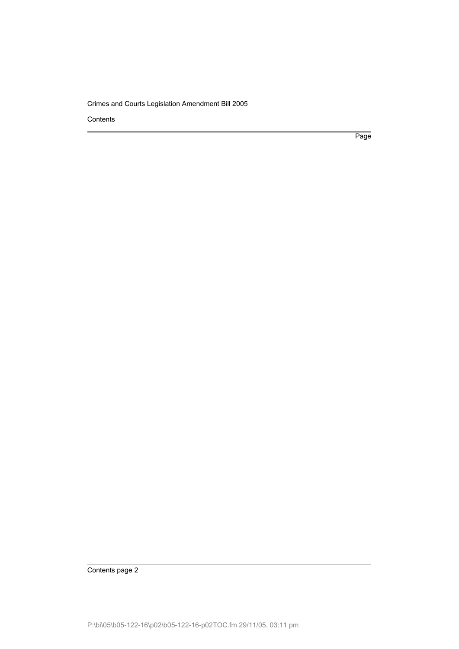Contents

Page

Contents page 2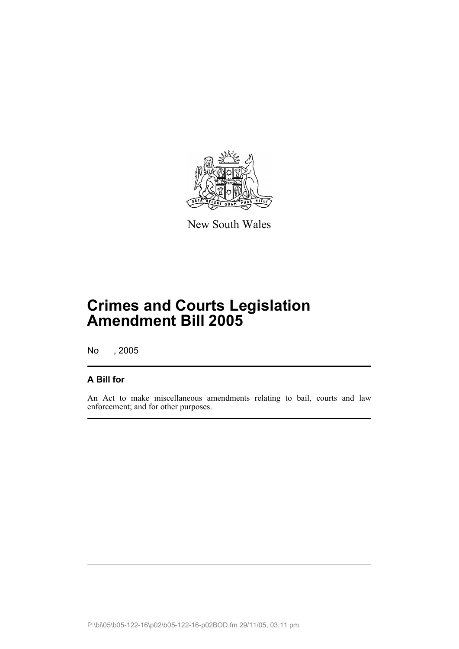

New South Wales

# **Crimes and Courts Legislation Amendment Bill 2005**

No , 2005

## **A Bill for**

An Act to make miscellaneous amendments relating to bail, courts and law enforcement; and for other purposes.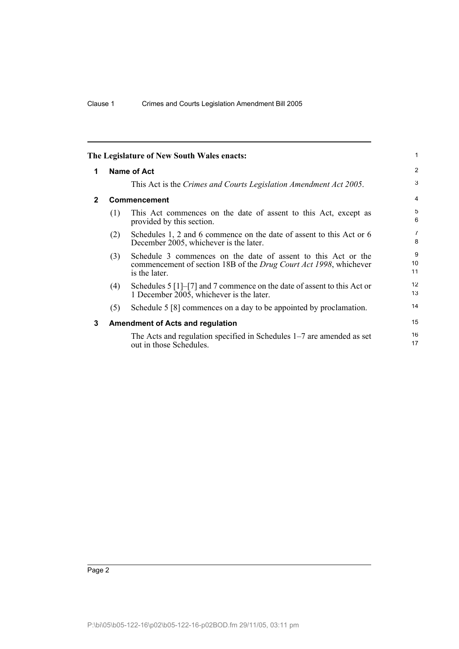<span id="page-9-2"></span><span id="page-9-1"></span><span id="page-9-0"></span>

| 1<br>The Legislature of New South Wales enacts: |             |                                                                                                                                                             |                     |  |  |
|-------------------------------------------------|-------------|-------------------------------------------------------------------------------------------------------------------------------------------------------------|---------------------|--|--|
| 1                                               | Name of Act |                                                                                                                                                             |                     |  |  |
|                                                 |             | This Act is the Crimes and Courts Legislation Amendment Act 2005.                                                                                           | 3                   |  |  |
| $\overline{2}$                                  |             | <b>Commencement</b>                                                                                                                                         | $\overline{4}$      |  |  |
|                                                 | (1)         | This Act commences on the date of assent to this Act, except as<br>provided by this section.                                                                | 5<br>6              |  |  |
|                                                 | (2)         | Schedules 1, 2 and 6 commence on the date of assent to this Act or 6<br>December 2005, whichever is the later.                                              | $\overline{7}$<br>8 |  |  |
|                                                 | (3)         | Schedule 3 commences on the date of assent to this Act or the<br>commencement of section 18B of the <i>Drug Court Act 1998</i> , whichever<br>is the later. | 9<br>10<br>11       |  |  |
|                                                 | (4)         | Schedules $5 \lceil 1 \rceil - 7 \rceil$ and 7 commence on the date of assent to this Act or<br>1 December 2005, whichever is the later.                    | 12<br>13            |  |  |
|                                                 | (5)         | Schedule 5 [8] commences on a day to be appointed by proclamation.                                                                                          | 14                  |  |  |
| 3                                               |             | <b>Amendment of Acts and regulation</b>                                                                                                                     | 15                  |  |  |
|                                                 |             | The Acts and regulation specified in Schedules 1–7 are amended as set<br>out in those Schedules.                                                            | 16<br>17            |  |  |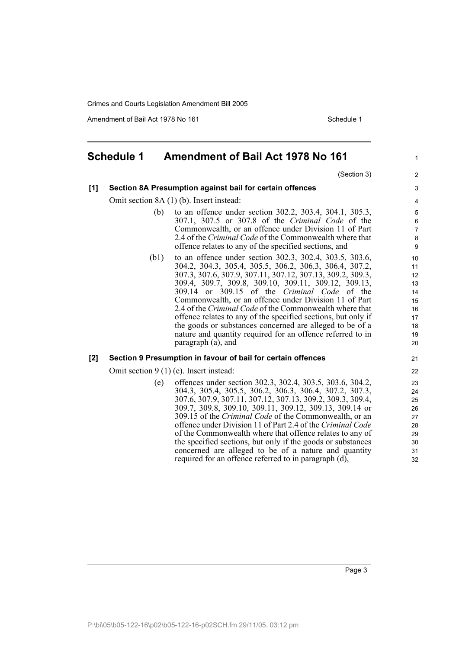Amendment of Bail Act 1978 No 161 Schedule 1

## <span id="page-10-0"></span>**Schedule 1 Amendment of Bail Act 1978 No 161**

(Section 3)

1

#### **[1] Section 8A Presumption against bail for certain offences**

Omit section 8A (1) (b). Insert instead:

- (b) to an offence under section 302.2, 303.4, 304.1, 305.3, 307.1, 307.5 or 307.8 of the *Criminal Code* of the Commonwealth, or an offence under Division 11 of Part 2.4 of the *Criminal Code* of the Commonwealth where that offence relates to any of the specified sections, and
- (b1) to an offence under section 302.3, 302.4, 303.5, 303.6, 304.2, 304.3, 305.4, 305.5, 306.2, 306.3, 306.4, 307.2, 307.3, 307.6, 307.9, 307.11, 307.12, 307.13, 309.2, 309.3, 309.4, 309.7, 309.8, 309.10, 309.11, 309.12, 309.13, 309.14 or 309.15 of the *Criminal Code* of the Commonwealth, or an offence under Division 11 of Part 2.4 of the *Criminal Code* of the Commonwealth where that offence relates to any of the specified sections, but only if the goods or substances concerned are alleged to be of a nature and quantity required for an offence referred to in paragraph  $(a)$ , and

#### **[2] Section 9 Presumption in favour of bail for certain offences**

Omit section 9 (1) (e). Insert instead:

(e) offences under section 302.3, 302.4, 303.5, 303.6, 304.2, 304.3, 305.4, 305.5, 306.2, 306.3, 306.4, 307.2, 307.3, 307.6, 307.9, 307.11, 307.12, 307.13, 309.2, 309.3, 309.4, 309.7, 309.8, 309.10, 309.11, 309.12, 309.13, 309.14 or 309.15 of the *Criminal Code* of the Commonwealth, or an offence under Division 11 of Part 2.4 of the *Criminal Code* of the Commonwealth where that offence relates to any of the specified sections, but only if the goods or substances concerned are alleged to be of a nature and quantity required for an offence referred to in paragraph (d),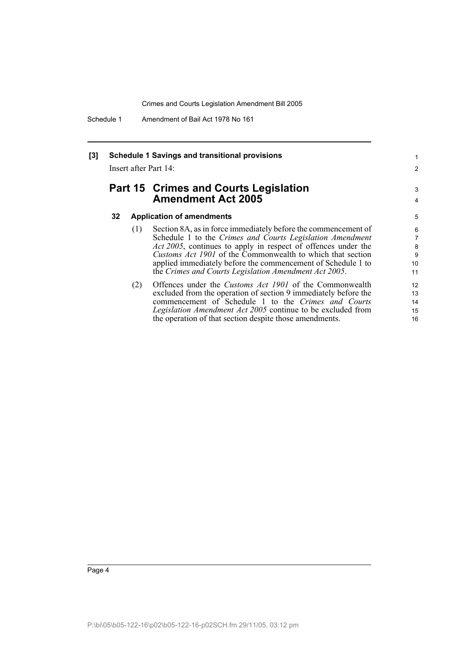Schedule 1 Amendment of Bail Act 1978 No 161

#### **[3] Schedule 1 Savings and transitional provisions**

Insert after Part 14:

### **Part 15 Crimes and Courts Legislation Amendment Act 2005**

#### **32 Application of amendments**

(1) Section 8A, as in force immediately before the commencement of Schedule 1 to the *Crimes and Courts Legislation Amendment Act 2005*, continues to apply in respect of offences under the *Customs Act 1901* of the Commonwealth to which that section applied immediately before the commencement of Schedule 1 to the *Crimes and Courts Legislation Amendment Act 2005*.

1 2

3 4

(2) Offences under the *Customs Act 1901* of the Commonwealth excluded from the operation of section 9 immediately before the commencement of Schedule 1 to the *Crimes and Courts Legislation Amendment Act 2005* continue to be excluded from the operation of that section despite those amendments.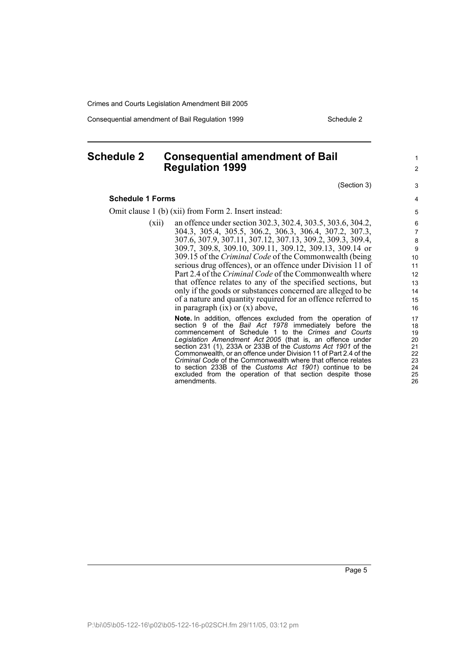Consequential amendment of Bail Regulation 1999 Schedule 2

<span id="page-12-0"></span>**Schedule 2 Consequential amendment of Bail Regulation 1999**

(Section 3)

1 2

#### **Schedule 1 Forms**

Omit clause 1 (b) (xii) from Form 2. Insert instead:

(xii) an offence under section 302.3, 302.4, 303.5, 303.6, 304.2, 304.3, 305.4, 305.5, 306.2, 306.3, 306.4, 307.2, 307.3, 307.6, 307.9, 307.11, 307.12, 307.13, 309.2, 309.3, 309.4, 309.7, 309.8, 309.10, 309.11, 309.12, 309.13, 309.14 or 309.15 of the *Criminal Code* of the Commonwealth (being serious drug offences), or an offence under Division 11 of Part 2.4 of the *Criminal Code* of the Commonwealth where that offence relates to any of the specified sections, but only if the goods or substances concerned are alleged to be of a nature and quantity required for an offence referred to in paragraph  $(ix)$  or  $(x)$  above,

> **Note.** In addition, offences excluded from the operation of section 9 of the *Bail Act 1978* immediately before the commencement of Schedule 1 to the *Crimes and Courts Legislation Amendment Act 2005* (that is, an offence under section 231 (1), 233A or 233B of the *Customs Act 1901* of the Commonwealth, or an offence under Division 11 of Part 2.4 of the *Criminal Code* of the Commonwealth where that offence relates to section 233B of the *Customs Act 1901*) continue to be excluded from the operation of that section despite those amendments.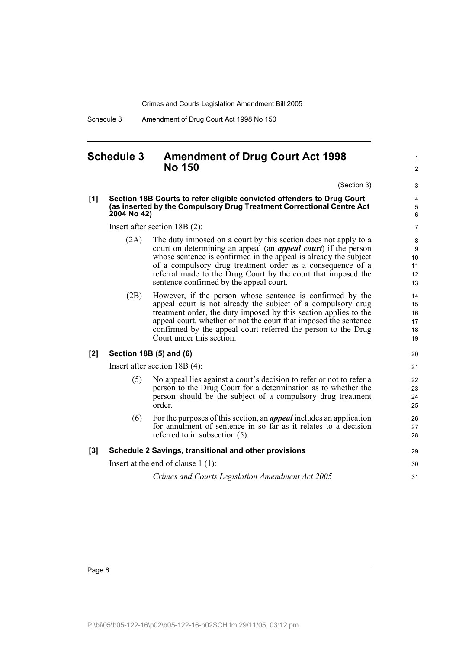Schedule 3 Amendment of Drug Court Act 1998 No 150

## <span id="page-13-0"></span>**Schedule 3 Amendment of Drug Court Act 1998 No 150**

(Section 3)

1  $\mathfrak{p}$ 

29 30 31

| [1] | Section 18B Courts to refer eligible convicted offenders to Drug Court<br>(as inserted by the Compulsory Drug Treatment Correctional Centre Act)<br>2004 No 42) |
|-----|-----------------------------------------------------------------------------------------------------------------------------------------------------------------|
|     |                                                                                                                                                                 |

Insert after section 18B (2):

- (2A) The duty imposed on a court by this section does not apply to a court on determining an appeal (an *appeal court*) if the person whose sentence is confirmed in the appeal is already the subject of a compulsory drug treatment order as a consequence of a referral made to the Drug Court by the court that imposed the sentence confirmed by the appeal court.
- (2B) However, if the person whose sentence is confirmed by the appeal court is not already the subject of a compulsory drug treatment order, the duty imposed by this section applies to the appeal court, whether or not the court that imposed the sentence confirmed by the appeal court referred the person to the Drug Court under this section.

#### **[2] Section 18B (5) and (6)**

Insert after section 18B (4):

- (5) No appeal lies against a court's decision to refer or not to refer a person to the Drug Court for a determination as to whether the person should be the subject of a compulsory drug treatment order.
- (6) For the purposes of this section, an *appeal* includes an application for annulment of sentence in so far as it relates to a decision referred to in subsection (5).

#### **[3] Schedule 2 Savings, transitional and other provisions**

Insert at the end of clause 1 (1):

*Crimes and Courts Legislation Amendment Act 2005*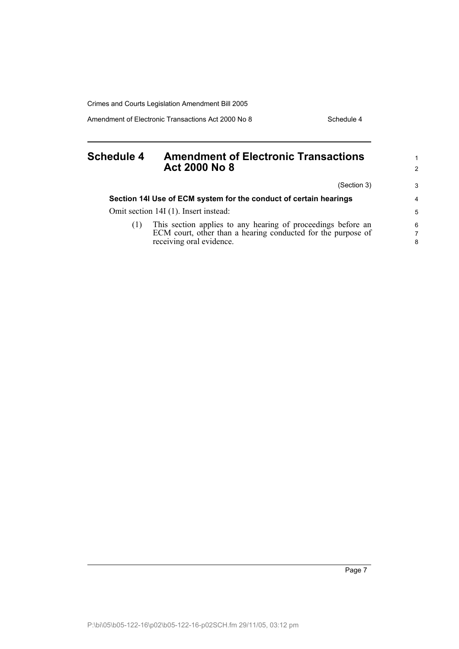Amendment of Electronic Transactions Act 2000 No 8 Schedule 4

#### <span id="page-14-0"></span>**Schedule 4 Amendment of Electronic Transactions Act 2000 No 8** (Section 3) **Section 14I Use of ECM system for the conduct of certain hearings** Omit section 14I (1). Insert instead: (1) This section applies to any hearing of proceedings before an ECM court, other than a hearing conducted for the purpose of receiving oral evidence. 1 2 3 4 5 6 7 8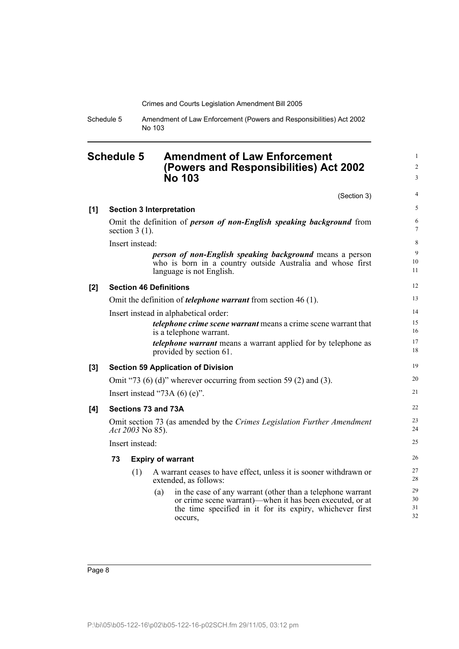Schedule 5 Amendment of Law Enforcement (Powers and Responsibilities) Act 2002 No 103

## <span id="page-15-0"></span>**Schedule 5 Amendment of Law Enforcement (Powers and Responsibilities) Act 2002 No 103**

(Section 3)

1 2 3

4

| [1] | <b>Section 3 Interpretation</b>                                                                  |                                                                                                                                                           |                                                                                            |                                                                                                                                                                                               | 5                    |  |  |
|-----|--------------------------------------------------------------------------------------------------|-----------------------------------------------------------------------------------------------------------------------------------------------------------|--------------------------------------------------------------------------------------------|-----------------------------------------------------------------------------------------------------------------------------------------------------------------------------------------------|----------------------|--|--|
|     | Omit the definition of <i>person of non-English speaking background</i> from<br>section $3(1)$ . |                                                                                                                                                           |                                                                                            |                                                                                                                                                                                               |                      |  |  |
|     | Insert instead:                                                                                  |                                                                                                                                                           |                                                                                            |                                                                                                                                                                                               |                      |  |  |
|     |                                                                                                  | <i>person of non-English speaking background</i> means a person<br>who is born in a country outside Australia and whose first<br>language is not English. |                                                                                            |                                                                                                                                                                                               |                      |  |  |
| [2] |                                                                                                  |                                                                                                                                                           |                                                                                            | <b>Section 46 Definitions</b>                                                                                                                                                                 | 12                   |  |  |
|     |                                                                                                  |                                                                                                                                                           |                                                                                            | Omit the definition of <i>telephone warrant</i> from section 46 (1).                                                                                                                          | 13                   |  |  |
|     |                                                                                                  |                                                                                                                                                           |                                                                                            | Insert instead in alphabetical order:                                                                                                                                                         | 14                   |  |  |
|     | <i>telephone crime scene warrant</i> means a crime scene warrant that<br>is a telephone warrant. |                                                                                                                                                           |                                                                                            |                                                                                                                                                                                               |                      |  |  |
|     | <i>telephone warrant</i> means a warrant applied for by telephone as<br>provided by section 61.  |                                                                                                                                                           |                                                                                            |                                                                                                                                                                                               |                      |  |  |
| [3] |                                                                                                  |                                                                                                                                                           |                                                                                            | <b>Section 59 Application of Division</b>                                                                                                                                                     | 19                   |  |  |
|     |                                                                                                  |                                                                                                                                                           |                                                                                            | Omit "73 (6) (d)" wherever occurring from section 59 (2) and (3).                                                                                                                             | 20                   |  |  |
|     |                                                                                                  |                                                                                                                                                           |                                                                                            | Insert instead "73A $(6)$ $(e)$ ".                                                                                                                                                            | 21                   |  |  |
| [4] |                                                                                                  |                                                                                                                                                           | Sections 73 and 73A                                                                        |                                                                                                                                                                                               | 22                   |  |  |
|     | Omit section 73 (as amended by the Crimes Legislation Further Amendment<br>Act 2003 No 85).      |                                                                                                                                                           |                                                                                            |                                                                                                                                                                                               |                      |  |  |
|     | Insert instead:                                                                                  |                                                                                                                                                           |                                                                                            |                                                                                                                                                                                               |                      |  |  |
|     | 73                                                                                               |                                                                                                                                                           |                                                                                            | <b>Expiry of warrant</b>                                                                                                                                                                      | 26                   |  |  |
|     |                                                                                                  | (1)                                                                                                                                                       | A warrant ceases to have effect, unless it is sooner withdrawn or<br>extended, as follows: | 27<br>28                                                                                                                                                                                      |                      |  |  |
|     |                                                                                                  |                                                                                                                                                           | (a)                                                                                        | in the case of any warrant (other than a telephone warrant<br>or crime scene warrant)—when it has been executed, or at<br>the time specified in it for its expiry, whichever first<br>occurs, | 29<br>30<br>31<br>32 |  |  |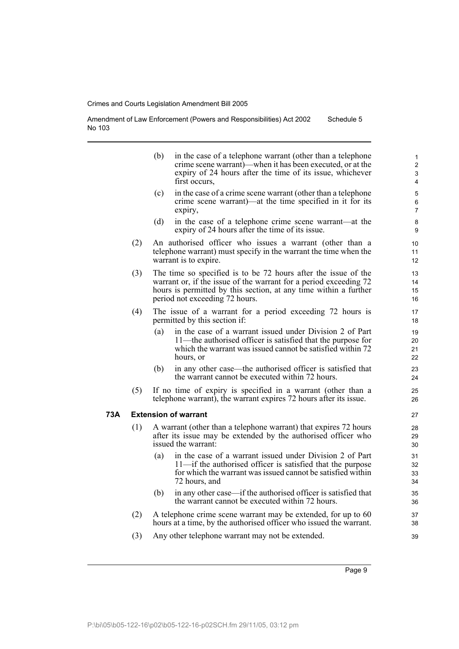Amendment of Law Enforcement (Powers and Responsibilities) Act 2002 No 103 Schedule 5

- (b) in the case of a telephone warrant (other than a telephone crime scene warrant)—when it has been executed, or at the expiry of 24 hours after the time of its issue, whichever first occurs.
- (c) in the case of a crime scene warrant (other than a telephone crime scene warrant)—at the time specified in it for its expiry,
- (d) in the case of a telephone crime scene warrant—at the expiry of 24 hours after the time of its issue.
- (2) An authorised officer who issues a warrant (other than a telephone warrant) must specify in the warrant the time when the warrant is to expire.
- (3) The time so specified is to be 72 hours after the issue of the warrant or, if the issue of the warrant for a period exceeding 72 hours is permitted by this section, at any time within a further period not exceeding 72 hours.
- (4) The issue of a warrant for a period exceeding 72 hours is permitted by this section if:
	- (a) in the case of a warrant issued under Division 2 of Part 11—the authorised officer is satisfied that the purpose for which the warrant was issued cannot be satisfied within 72 hours, or
	- (b) in any other case—the authorised officer is satisfied that the warrant cannot be executed within 72 hours.
- (5) If no time of expiry is specified in a warrant (other than a telephone warrant), the warrant expires 72 hours after its issue.

#### **73A Extension of warrant**

- (1) A warrant (other than a telephone warrant) that expires 72 hours after its issue may be extended by the authorised officer who issued the warrant:
	- (a) in the case of a warrant issued under Division 2 of Part 11—if the authorised officer is satisfied that the purpose for which the warrant was issued cannot be satisfied within 72 hours, and
	- (b) in any other case—if the authorised officer is satisfied that the warrant cannot be executed within 72 hours.
- (2) A telephone crime scene warrant may be extended, for up to 60 hours at a time, by the authorised officer who issued the warrant.
- (3) Any other telephone warrant may not be extended.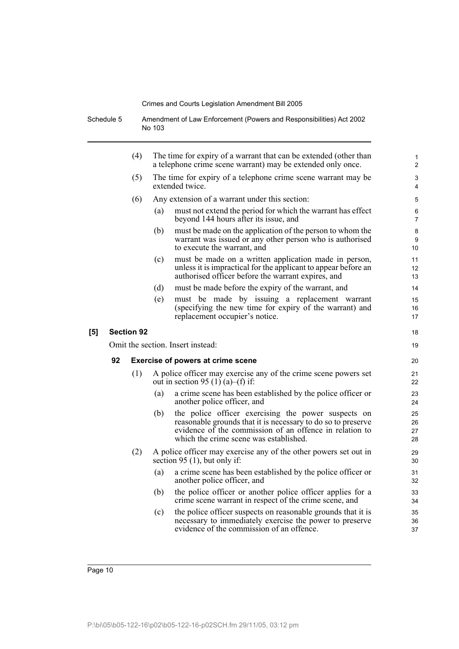Schedule 5 Amendment of Law Enforcement (Powers and Responsibilities) Act 2002 No 103

|     |    | (4)               |     | The time for expiry of a warrant that can be extended (other than<br>a telephone crime scene warrant) may be extended only once.                                                                                         | 1<br>2               |
|-----|----|-------------------|-----|--------------------------------------------------------------------------------------------------------------------------------------------------------------------------------------------------------------------------|----------------------|
|     |    | (5)               |     | The time for expiry of a telephone crime scene warrant may be<br>extended twice.                                                                                                                                         | 3<br>$\overline{4}$  |
|     |    | (6)               |     | Any extension of a warrant under this section:                                                                                                                                                                           | 5                    |
|     |    |                   | (a) | must not extend the period for which the warrant has effect<br>beyond 144 hours after its issue, and                                                                                                                     | 6<br>$\overline{7}$  |
|     |    |                   | (b) | must be made on the application of the person to whom the<br>warrant was issued or any other person who is authorised<br>to execute the warrant, and                                                                     | 8<br>9<br>10         |
|     |    |                   | (c) | must be made on a written application made in person,<br>unless it is impractical for the applicant to appear before an<br>authorised officer before the warrant expires, and                                            | 11<br>12<br>13       |
|     |    |                   | (d) | must be made before the expiry of the warrant, and                                                                                                                                                                       | 14                   |
|     |    |                   | (e) | must be made by issuing a replacement warrant<br>(specifying the new time for expiry of the warrant) and<br>replacement occupier's notice.                                                                               | 15<br>16<br>17       |
| [5] |    | <b>Section 92</b> |     |                                                                                                                                                                                                                          | 18                   |
|     |    |                   |     | Omit the section. Insert instead:                                                                                                                                                                                        | 19                   |
|     | 92 |                   |     | Exercise of powers at crime scene                                                                                                                                                                                        | 20                   |
|     |    | (1)               |     | A police officer may exercise any of the crime scene powers set<br>out in section 95 (1) (a)–(f) if:                                                                                                                     | 21<br>22             |
|     |    |                   | (a) | a crime scene has been established by the police officer or<br>another police officer, and                                                                                                                               | 23<br>24             |
|     |    |                   | (b) | the police officer exercising the power suspects on<br>reasonable grounds that it is necessary to do so to preserve<br>evidence of the commission of an offence in relation to<br>which the crime scene was established. | 25<br>26<br>27<br>28 |
|     |    | (2)               |     | A police officer may exercise any of the other powers set out in<br>section 95 $(1)$ , but only if:                                                                                                                      | 29<br>30             |
|     |    |                   | (a) | a crime scene has been established by the police officer or<br>another police officer, and                                                                                                                               | 31<br>32             |
|     |    |                   | (b) | the police officer or another police officer applies for a<br>crime scene warrant in respect of the crime scene, and                                                                                                     | 33<br>34             |
|     |    |                   | (c) | the police officer suspects on reasonable grounds that it is<br>necessary to immediately exercise the power to preserve<br>evidence of the commission of an offence.                                                     | 35<br>36<br>37       |
|     |    |                   |     |                                                                                                                                                                                                                          |                      |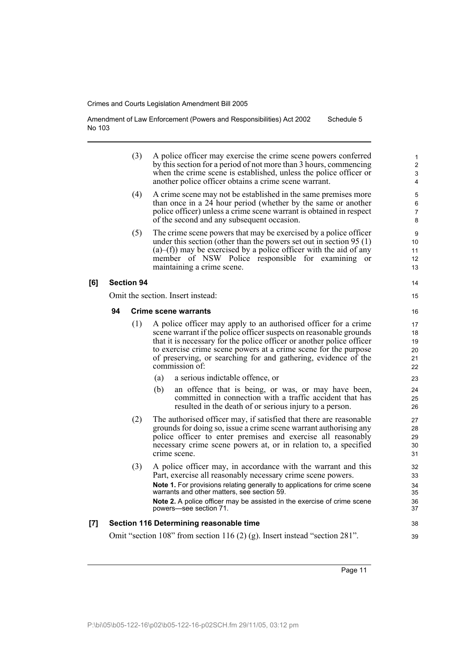**[6]** 

Amendment of Law Enforcement (Powers and Responsibilities) Act 2002 No 103 Schedule 5

|    | (3)               | A police officer may exercise the crime scene powers conferred<br>by this section for a period of not more than 3 hours, commencing<br>when the crime scene is established, unless the police officer or<br>another police officer obtains a crime scene warrant.                                                                                                     | $\mathbf{1}$<br>$\overline{2}$<br>$\mathfrak{S}$<br>4 |
|----|-------------------|-----------------------------------------------------------------------------------------------------------------------------------------------------------------------------------------------------------------------------------------------------------------------------------------------------------------------------------------------------------------------|-------------------------------------------------------|
|    | (4)               | A crime scene may not be established in the same premises more<br>than once in a 24 hour period (whether by the same or another<br>police officer) unless a crime scene warrant is obtained in respect<br>of the second and any subsequent occasion.                                                                                                                  | 5<br>$\,6\,$<br>$\overline{7}$<br>8                   |
|    | (5)               | The crime scene powers that may be exercised by a police officer<br>under this section (other than the powers set out in section $95(1)$ )<br>$(a)$ –(f)) may be exercised by a police officer with the aid of any<br>member of NSW Police responsible for examining<br>or<br>maintaining a crime scene.                                                              | 9<br>10<br>11<br>12<br>13                             |
|    | <b>Section 94</b> |                                                                                                                                                                                                                                                                                                                                                                       | 14                                                    |
|    |                   | Omit the section. Insert instead:                                                                                                                                                                                                                                                                                                                                     | 15                                                    |
| 94 |                   | <b>Crime scene warrants</b>                                                                                                                                                                                                                                                                                                                                           | 16                                                    |
|    | (1)               | A police officer may apply to an authorised officer for a crime<br>scene warrant if the police officer suspects on reasonable grounds<br>that it is necessary for the police officer or another police officer<br>to exercise crime scene powers at a crime scene for the purpose<br>of preserving, or searching for and gathering, evidence of the<br>commission of: | 17<br>18<br>19<br>20<br>21<br>22                      |
|    |                   | a serious indictable offence, or<br>(a)                                                                                                                                                                                                                                                                                                                               | 23                                                    |
|    |                   | an offence that is being, or was, or may have been,<br>(b)<br>committed in connection with a traffic accident that has<br>resulted in the death of or serious injury to a person.                                                                                                                                                                                     | 24<br>25<br>26                                        |
|    | (2)               | The authorised officer may, if satisfied that there are reasonable<br>grounds for doing so, issue a crime scene warrant authorising any<br>police officer to enter premises and exercise all reasonably<br>necessary crime scene powers at, or in relation to, a specified<br>crime scene.                                                                            | 27<br>28<br>29<br>30<br>31                            |
|    | (3)               | A police officer may, in accordance with the warrant and this<br>Part, exercise all reasonably necessary crime scene powers.<br>Note 1. For provisions relating generally to applications for crime scene<br>warrants and other matters, see section 59.<br>Note 2. A police officer may be assisted in the exercise of crime scene<br>powers—see section 71.         | 32<br>33<br>34<br>35<br>36<br>37                      |

## **[7] Section 116 Determining reasonable time**

Omit "section 108" from section 116 (2) (g). Insert instead "section 281".

Page 11

38 39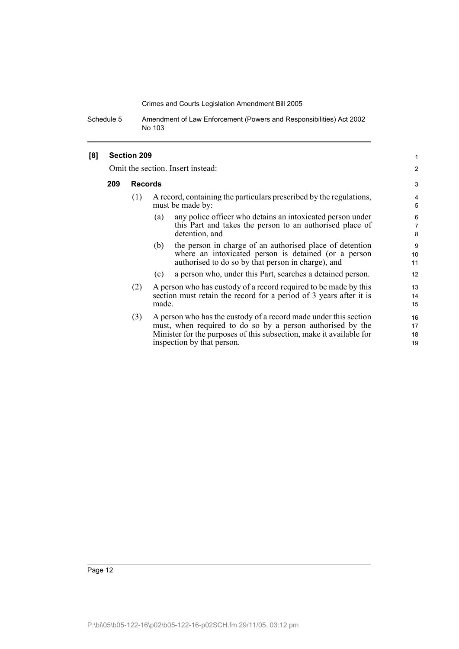Schedule 5 Amendment of Law Enforcement (Powers and Responsibilities) Act 2002 No 103

#### **[8] Section 209**

Omit the section. Insert instead:

#### **209 Records**

- (1) A record, containing the particulars prescribed by the regulations, must be made by:
	- (a) any police officer who detains an intoxicated person under this Part and takes the person to an authorised place of detention, and

1 2

- (b) the person in charge of an authorised place of detention where an intoxicated person is detained (or a person authorised to do so by that person in charge), and
- (c) a person who, under this Part, searches a detained person.
- (2) A person who has custody of a record required to be made by this section must retain the record for a period of 3 years after it is made.
- (3) A person who has the custody of a record made under this section must, when required to do so by a person authorised by the Minister for the purposes of this subsection, make it available for inspection by that person.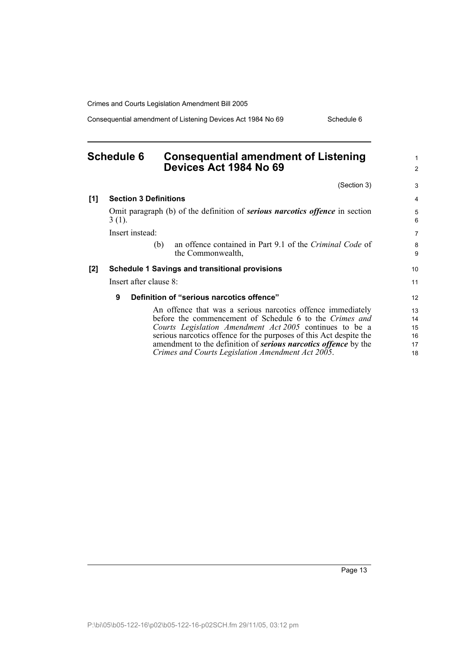Consequential amendment of Listening Devices Act 1984 No 69 Schedule 6

<span id="page-20-0"></span>

|     | <b>Schedule 6</b>            | <b>Consequential amendment of Listening</b>                                          | $\mathbf{1}$   |
|-----|------------------------------|--------------------------------------------------------------------------------------|----------------|
|     |                              | Devices Act 1984 No 69                                                               | 2              |
|     |                              | (Section 3)                                                                          | 3              |
| [1] | <b>Section 3 Definitions</b> |                                                                                      | 4              |
|     | $3(1)$ .                     | Omit paragraph (b) of the definition of <b>serious narcotics offence</b> in section  | 5<br>6         |
|     | Insert instead:              |                                                                                      | $\overline{7}$ |
|     |                              | an offence contained in Part 9.1 of the Criminal Code of<br>(b)<br>the Commonwealth, | 8<br>9         |
| [2] |                              | <b>Schedule 1 Savings and transitional provisions</b>                                | 10             |
|     | Insert after clause 8:       |                                                                                      | 11             |
|     | 9                            | Definition of "serious narcotics offence"                                            | 12             |
|     |                              | An offence that was a serious narcotics offence immediately                          | 13             |
|     |                              | before the commencement of Schedule 6 to the Crimes and                              | 14             |
|     |                              | Courts Legislation Amendment Act 2005 continues to be a                              | 15             |
|     |                              | serious narcotics offence for the purposes of this Act despite the                   | 16             |
|     |                              | amendment to the definition of <i>serious narcotics offence</i> by the               | 17             |
|     |                              | Crimes and Courts Legislation Amendment Act 2005.                                    | 18             |

Page 13